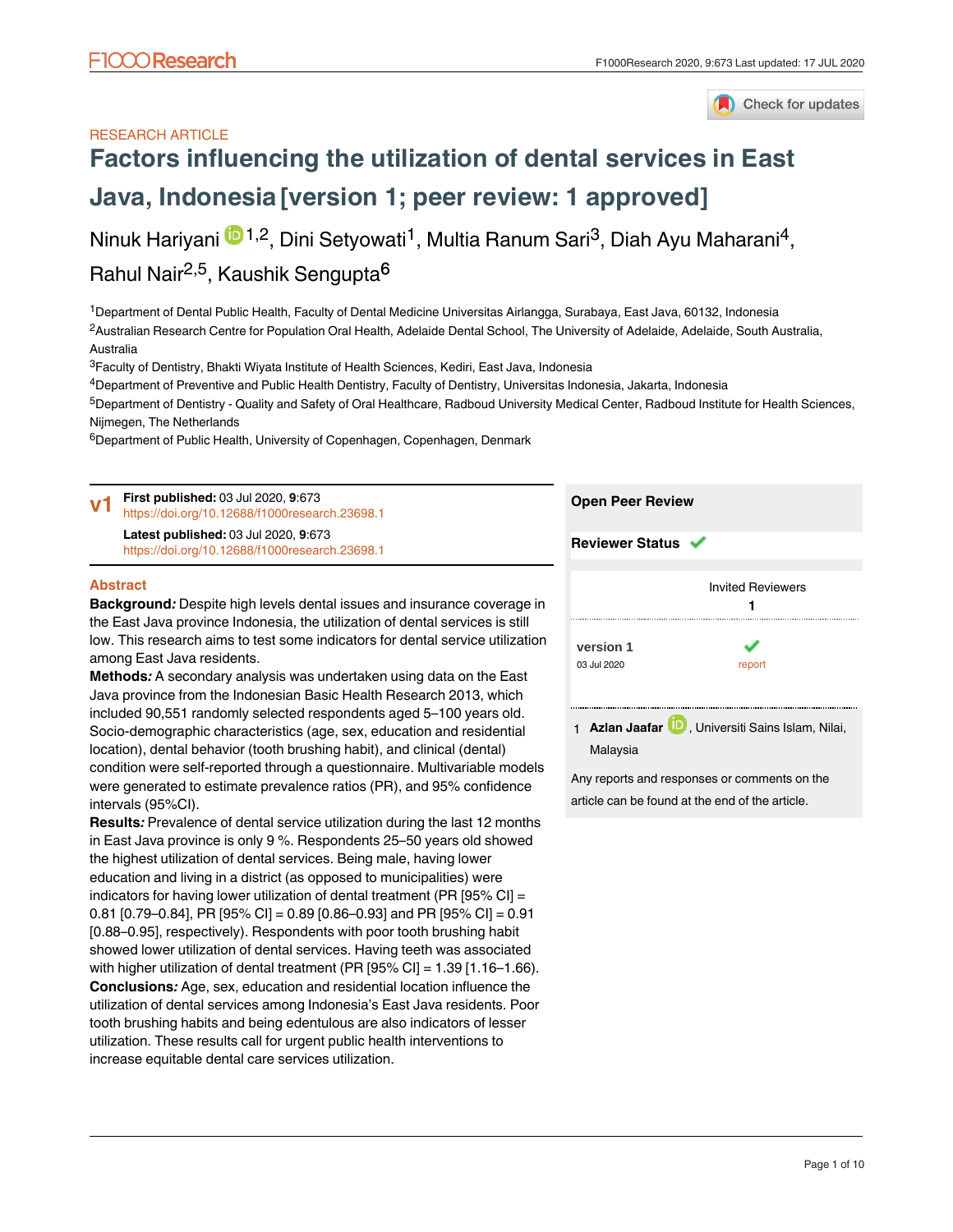## Check for updates

### RESEARCH ARTICLE

# **[Factors influencing the utilization of dental services in East](https://f1000research.com/articles/9-673/v1) [Java, Indonesia](https://f1000research.com/articles/9-673/v1) [version 1; peer review: 1 approved]**

Ninuk Hariyani <sup>in 1,2</sup>, Dini Setyowati<sup>1</sup>, Multia Ranum Sari<sup>3</sup>, Diah Ayu Maharani<sup>4</sup>, Rahul Nair<sup>2,5</sup>, Kaushik Sengupta<sup>6</sup>

<sup>1</sup>Department of Dental Public Health, Faculty of Dental Medicine Universitas Airlangga, Surabaya, East Java, 60132, Indonesia <sup>2</sup>Australian Research Centre for Population Oral Health, Adelaide Dental School, The University of Adelaide, Adelaide, South Australia, Australia

 $^3$ Faculty of Dentistry, Bhakti Wiyata Institute of Health Sciences, Kediri, East Java, Indonesia

 $^4$ Department of Preventive and Public Health Dentistry, Faculty of Dentistry, Universitas Indonesia, Jakarta, Indonesia <sup>5</sup>Department of Dentistry - Quality and Safety of Oral Healthcare, Radboud University Medical Center, Radboud Institute for Health Sciences,

Nijmegen, The Netherlands

intervals (95%CI).

<sup>6</sup>Department of Public Health, University of Copenhagen, Copenhagen, Denmark

**First published:** 03 Jul 2020, **9**:673 **Open Peer Review v1** <https://doi.org/10.12688/f1000research.23698.1> **Latest published:** 03 Jul 2020, **9**:673 **Reviewer Status** <https://doi.org/10.12688/f1000research.23698.1> **Abstract** Invited Reviewers **Background***:* Despite high levels dental issues and insurance coverage in **1** the East Java province Indonesia, the utilization of dental services is still low. This research aims to test some indicators for dental service utilization **[version 1](https://f1000research.com/articles/9-673/v1)** پ among East Java residents. 03 Jul 2020 report **Methods***:* A secondary analysis was undertaken using data on the East Java province from the Indonesian Basic Health Research 2013, which included 90,551 randomly selected respondents aged 5–100 years old. 1 **Azlan Jaafar UD**, Universiti Sains Islam, Nilai, Socio-demographic characteristics (age, sex, education and residential Malaysia

> Any reports and responses or comments on the article can be found at the end of the article.

education and living in a district (as opposed to municipalities) were indicators for having lower utilization of dental treatment (PR [95% CI] = 0.81 [0.79–0.84], PR [95% CI] = 0.89 [0.86–0.93] and PR [95% CI] = 0.91 [0.88–0.95], respectively). Respondents with poor tooth brushing habit showed lower utilization of dental services. Having teeth was associated with higher utilization of dental treatment (PR [95% CI] = 1.39 [1.16–1.66). **Conclusions***:* Age, sex, education and residential location influence the utilization of dental services among Indonesia's East Java residents. Poor

location), dental behavior (tooth brushing habit), and clinical (dental) condition were self-reported through a questionnaire. Multivariable models were generated to estimate prevalence ratios (PR), and 95% confidence

**Results***:* Prevalence of dental service utilization during the last 12 months in East Java province is only 9 %. Respondents 25–50 years old showed the highest utilization of dental services. Being male, having lower

tooth brushing habits and being edentulous are also indicators of lesser utilization. These results call for urgent public health interventions to increase equitable dental care services utilization.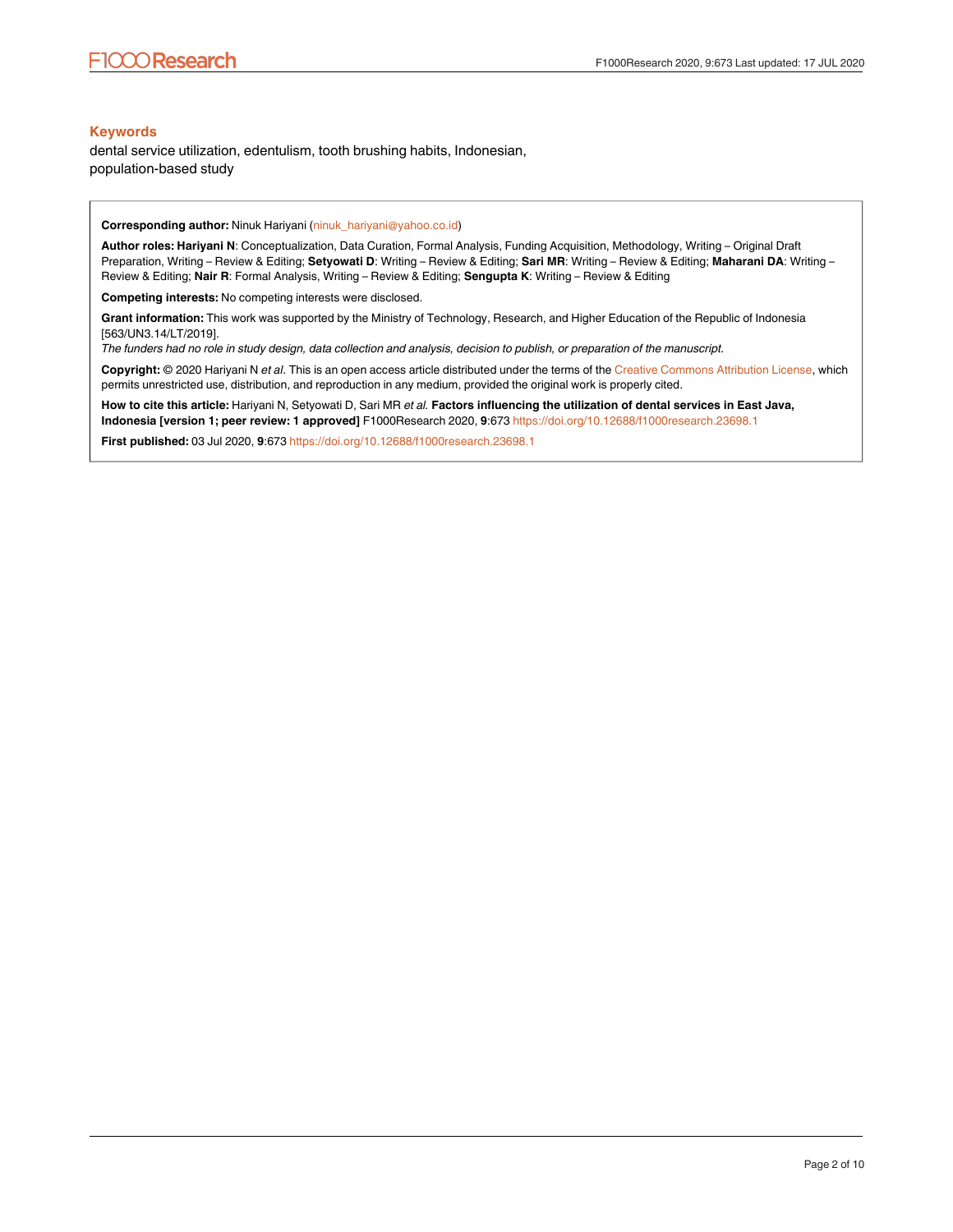#### **Keywords**

dental service utilization, edentulism, tooth brushing habits, Indonesian, population-based study

**Corresponding author:** Ninuk Hariyani (ninuk\_hariyani@yahoo.co.id)

**Author roles: Hariyani N**: Conceptualization, Data Curation, Formal Analysis, Funding Acquisition, Methodology, Writing – Original Draft Preparation, Writing – Review & Editing; **Setyowati D**: Writing – Review & Editing; **Sari MR**: Writing – Review & Editing; **Maharani DA**: Writing – Review & Editing; **Nair R**: Formal Analysis, Writing – Review & Editing; **Sengupta K**: Writing – Review & Editing

**Competing interests:** No competing interests were disclosed.

**Grant information:** This work was supported by the Ministry of Technology, Research, and Higher Education of the Republic of Indonesia [563/UN3.14/LT/2019].

*The funders had no role in study design, data collection and analysis, decision to publish, or preparation of the manuscript.*

**Copyright:** © 2020 Hariyani N *et al*. This is an open access article distributed under the terms of the [Creative Commons Attribution License,](http://creativecommons.org/licenses/by/4.0/) which permits unrestricted use, distribution, and reproduction in any medium, provided the original work is properly cited.

**How to cite this article:** Hariyani N, Setyowati D, Sari MR *et al.* **Factors influencing the utilization of dental services in East Java, Indonesia [version 1; peer review: 1 approved]** F1000Research 2020, **9**:673 <https://doi.org/10.12688/f1000research.23698.1>

**First published:** 03 Jul 2020, **9**:673<https://doi.org/10.12688/f1000research.23698.1>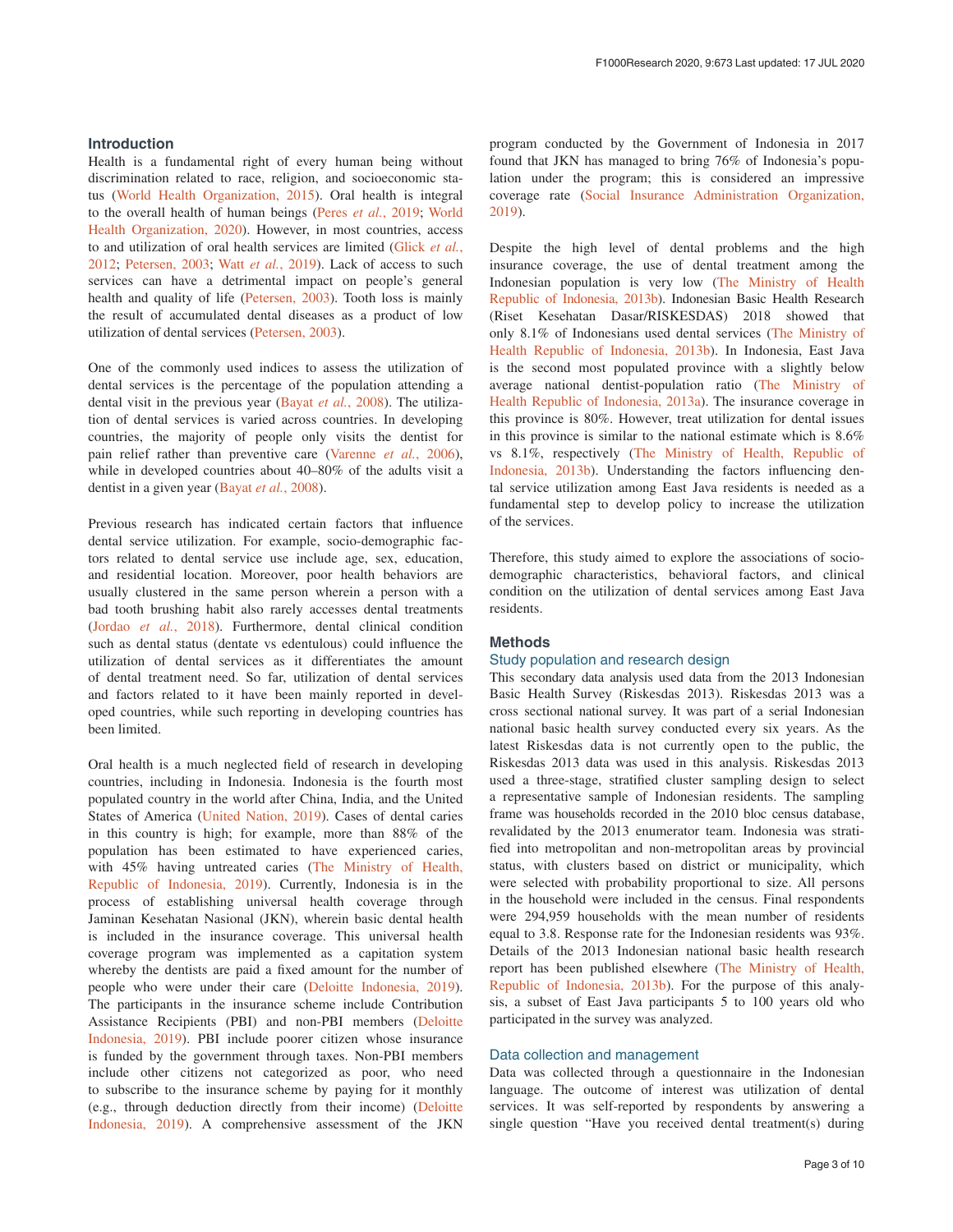#### **Introduction**

Health is a fundamental right of every human being without discrimination related to race, religion, and socioeconomic status ([World Health Organization, 2015](#page-7-0)). Oral health is integral to the overall health of human beings (Peres *et al.*[, 2019;](#page-7-0) [World](#page-7-0)  [Health Organization, 2020\)](#page-7-0). However, in most countries, access to and utilization of oral health services are limited [\(Glick](#page-7-0) *et al.*, [2012;](#page-7-0) [Petersen, 2003; Watt](#page-7-0) *et al.*, 2019). Lack of access to such services can have a detrimental impact on people's general health and quality of life ([Petersen, 2003](#page-7-0)). Tooth loss is mainly the result of accumulated dental diseases as a product of low utilization of dental services ([Petersen, 2003\)](#page-7-0).

One of the commonly used indices to assess the utilization of dental services is the percentage of the population attending a dental visit in the previous year (Bayat *et al.*[, 2008\)](#page-7-0). The utilization of dental services is varied across countries. In developing countries, the majority of people only visits the dentist for pain relief rather than preventive care [\(Varenne](#page-7-0) *et al.*, 2006), while in developed countries about 40–80% of the adults visit a dentist in a given year [\(Bayat](#page-7-0) *et al.*, 2008).

Previous research has indicated certain factors that influence dental service utilization. For example, socio-demographic factors related to dental service use include age, sex, education, and residential location. Moreover, poor health behaviors are usually clustered in the same person wherein a person with a bad tooth brushing habit also rarely accesses dental treatments (Jordao *et al.*[, 2018](#page-7-0)). Furthermore, dental clinical condition such as dental status (dentate vs edentulous) could influence the utilization of dental services as it differentiates the amount of dental treatment need. So far, utilization of dental services and factors related to it have been mainly reported in developed countries, while such reporting in developing countries has been limited.

Oral health is a much neglected field of research in developing countries, including in Indonesia. Indonesia is the fourth most populated country in the world after China, India, and the United States of America [\(United Nation, 2019](#page-7-0)). Cases of dental caries in this country is high; for example, more than 88% of the population has been estimated to have experienced caries, with 45% having untreated caries ([The Ministry of Health,](#page-7-0) [Republic of Indonesia, 2019\)](#page-7-0). Currently, Indonesia is in the process of establishing universal health coverage through Jaminan Kesehatan Nasional (JKN), wherein basic dental health is included in the insurance coverage. This universal health coverage program was implemented as a capitation system whereby the dentists are paid a fixed amount for the number of people who were under their care [\(Deloitte Indonesia, 2019](#page-7-0)). The participants in the insurance scheme include Contribution Assistance Recipients (PBI) and non-PBI members ([Deloitte](#page-7-0) [Indonesia, 2019\)](#page-7-0). PBI include poorer citizen whose insurance is funded by the government through taxes. Non-PBI members include other citizens not categorized as poor, who need to subscribe to the insurance scheme by paying for it monthly (e.g., through deduction directly from their income) ([Deloitte](#page-7-0) [Indonesia, 2019](#page-7-0)). A comprehensive assessment of the JKN

program conducted by the Government of Indonesia in 2017 found that JKN has managed to bring 76% of Indonesia's population under the program; this is considered an impressive coverage rate [\(Social Insurance Administration Organization,](#page-7-0)  [2019\)](#page-7-0).

Despite the high level of dental problems and the high insurance coverage, the use of dental treatment among the Indonesian population is very low ([The Ministry of Health](#page-7-0) [Republic of Indonesia, 2013b\)](#page-7-0). Indonesian Basic Health Research (Riset Kesehatan Dasar/RISKESDAS) 2018 showed that only 8.1% of Indonesians used dental services ([The Ministry of](#page-7-0)  [Health Republic of Indonesia, 2013b](#page-7-0)). In Indonesia, East Java is the second most populated province with a slightly below average national dentist-population ratio [\(The Ministry of](#page-7-0) [Health Republic of Indonesia, 2013a](#page-7-0)). The insurance coverage in this province is 80%. However, treat utilization for dental issues in this province is similar to the national estimate which is 8.6% vs 8.1%, respectively [\(The Ministry of Health, Republic of](#page-7-0) [Indonesia, 2013b\)](#page-7-0). Understanding the factors influencing dental service utilization among East Java residents is needed as a fundamental step to develop policy to increase the utilization of the services.

Therefore, this study aimed to explore the associations of sociodemographic characteristics, behavioral factors, and clinical condition on the utilization of dental services among East Java residents.

#### **Methods**

#### Study population and research design

This secondary data analysis used data from the 2013 Indonesian Basic Health Survey (Riskesdas 2013). Riskesdas 2013 was a cross sectional national survey. It was part of a serial Indonesian national basic health survey conducted every six years. As the latest Riskesdas data is not currently open to the public, the Riskesdas 2013 data was used in this analysis. Riskesdas 2013 used a three-stage, stratified cluster sampling design to select a representative sample of Indonesian residents. The sampling frame was households recorded in the 2010 bloc census database, revalidated by the 2013 enumerator team. Indonesia was stratified into metropolitan and non-metropolitan areas by provincial status, with clusters based on district or municipality, which were selected with probability proportional to size. All persons in the household were included in the census. Final respondents were 294,959 households with the mean number of residents equal to 3.8. Response rate for the Indonesian residents was 93%. Details of the 2013 Indonesian national basic health research report has been published elsewhere ([The Ministry of Health,](#page-7-0)  [Republic of Indonesia, 2013b](#page-7-0)). For the purpose of this analysis, a subset of East Java participants 5 to 100 years old who participated in the survey was analyzed.

#### Data collection and management

Data was collected through a questionnaire in the Indonesian language. The outcome of interest was utilization of dental services. It was self-reported by respondents by answering a single question "Have you received dental treatment(s) during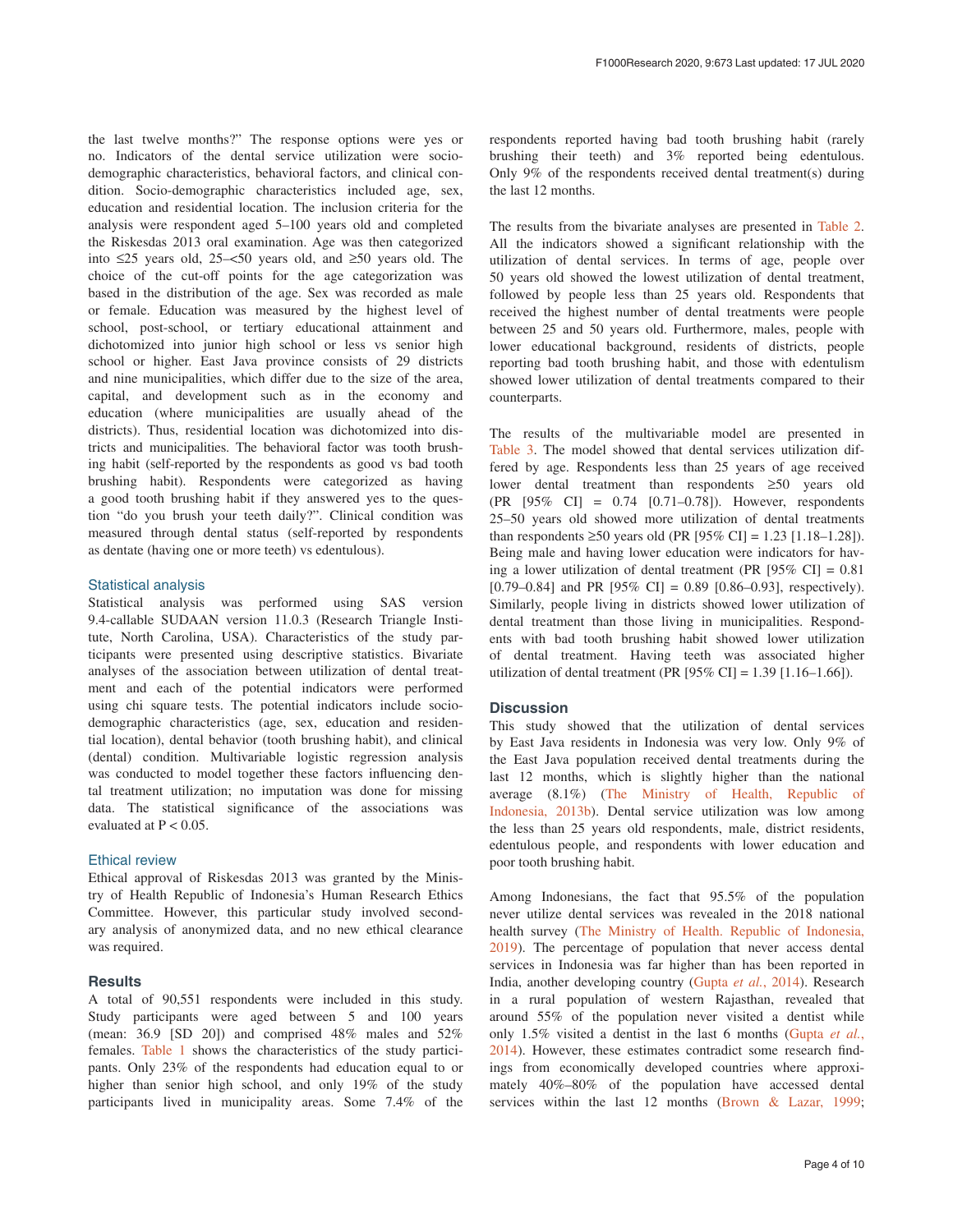the last twelve months?" The response options were yes or no. Indicators of the dental service utilization were sociodemographic characteristics, behavioral factors, and clinical condition. Socio-demographic characteristics included age, sex, education and residential location. The inclusion criteria for the analysis were respondent aged 5–100 years old and completed the Riskesdas 2013 oral examination. Age was then categorized into ≤25 years old, 25–<50 years old, and ≥50 years old. The choice of the cut-off points for the age categorization was based in the distribution of the age. Sex was recorded as male or female. Education was measured by the highest level of school, post-school, or tertiary educational attainment and dichotomized into junior high school or less vs senior high school or higher. East Java province consists of 29 districts and nine municipalities, which differ due to the size of the area, capital, and development such as in the economy and education (where municipalities are usually ahead of the districts). Thus, residential location was dichotomized into districts and municipalities. The behavioral factor was tooth brushing habit (self-reported by the respondents as good vs bad tooth brushing habit). Respondents were categorized as having a good tooth brushing habit if they answered yes to the question "do you brush your teeth daily?". Clinical condition was measured through dental status (self-reported by respondents as dentate (having one or more teeth) vs edentulous).

#### Statistical analysis

Statistical analysis was performed using SAS version 9.4-callable SUDAAN version 11.0.3 (Research Triangle Institute, North Carolina, USA). Characteristics of the study participants were presented using descriptive statistics. Bivariate analyses of the association between utilization of dental treatment and each of the potential indicators were performed using chi square tests. The potential indicators include sociodemographic characteristics (age, sex, education and residential location), dental behavior (tooth brushing habit), and clinical (dental) condition. Multivariable logistic regression analysis was conducted to model together these factors influencing dental treatment utilization; no imputation was done for missing data. The statistical significance of the associations was evaluated at  $P < 0.05$ .

#### Ethical review

Ethical approval of Riskesdas 2013 was granted by the Ministry of Health Republic of Indonesia's Human Research Ethics Committee. However, this particular study involved secondary analysis of anonymized data, and no new ethical clearance was required.

#### **Results**

A total of 90,551 respondents were included in this study. Study participants were aged between 5 and 100 years (mean: 36.9 [SD 20]) and comprised 48% males and 52% females. [Table 1](#page-4-0) shows the characteristics of the study participants. Only 23% of the respondents had education equal to or higher than senior high school, and only 19% of the study participants lived in municipality areas. Some 7.4% of the respondents reported having bad tooth brushing habit (rarely brushing their teeth) and 3% reported being edentulous. Only 9% of the respondents received dental treatment(s) during the last 12 months.

The results from the bivariate analyses are presented in [Table 2](#page-5-0). All the indicators showed a significant relationship with the utilization of dental services. In terms of age, people over 50 years old showed the lowest utilization of dental treatment, followed by people less than 25 years old. Respondents that received the highest number of dental treatments were people between 25 and 50 years old. Furthermore, males, people with lower educational background, residents of districts, people reporting bad tooth brushing habit, and those with edentulism showed lower utilization of dental treatments compared to their counterparts.

The results of the multivariable model are presented in [Table 3](#page-6-0). The model showed that dental services utilization differed by age. Respondents less than 25 years of age received lower dental treatment than respondents ≥50 years old (PR [95% CI] = 0.74 [0.71–0.78]). However, respondents 25–50 years old showed more utilization of dental treatments than respondents ≥50 years old (PR [95% CI] = 1.23 [1.18–1.28]). Being male and having lower education were indicators for having a lower utilization of dental treatment (PR  $[95\% \text{ CI}] = 0.81$ [0.79–0.84] and PR  $[95\% \text{ CI}] = 0.89 \; [0.86-0.93]$ , respectively). Similarly, people living in districts showed lower utilization of dental treatment than those living in municipalities. Respondents with bad tooth brushing habit showed lower utilization of dental treatment. Having teeth was associated higher utilization of dental treatment (PR [95% CI] = 1.39 [1.16–1.66]).

#### **Discussion**

This study showed that the utilization of dental services by East Java residents in Indonesia was very low. Only 9% of the East Java population received dental treatments during the last 12 months, which is slightly higher than the national average (8.1%) [\(The Ministry of Health, Republic of](#page-7-0) [Indonesia, 2013b\)](#page-7-0). Dental service utilization was low among the less than 25 years old respondents, male, district residents, edentulous people, and respondents with lower education and poor tooth brushing habit.

Among Indonesians, the fact that 95.5% of the population never utilize dental services was revealed in the 2018 national health survey [\(The Ministry of Health. Republic of Indonesia,](#page-7-0) [2019\)](#page-7-0). The percentage of population that never access dental services in Indonesia was far higher than has been reported in India, another developing country ([Gupta](#page-7-0) *et al.*, 2014). Research in a rural population of western Rajasthan, revealed that around 55% of the population never visited a dentist while only 1.5% visited a dentist in the last 6 months [\(Gupta](#page-7-0) *et al.*, [2014\)](#page-7-0). However, these estimates contradict some research findings from economically developed countries where approximately 40%–80% of the population have accessed dental services within the last 12 months ([Brown & Lazar, 1999](#page-7-0);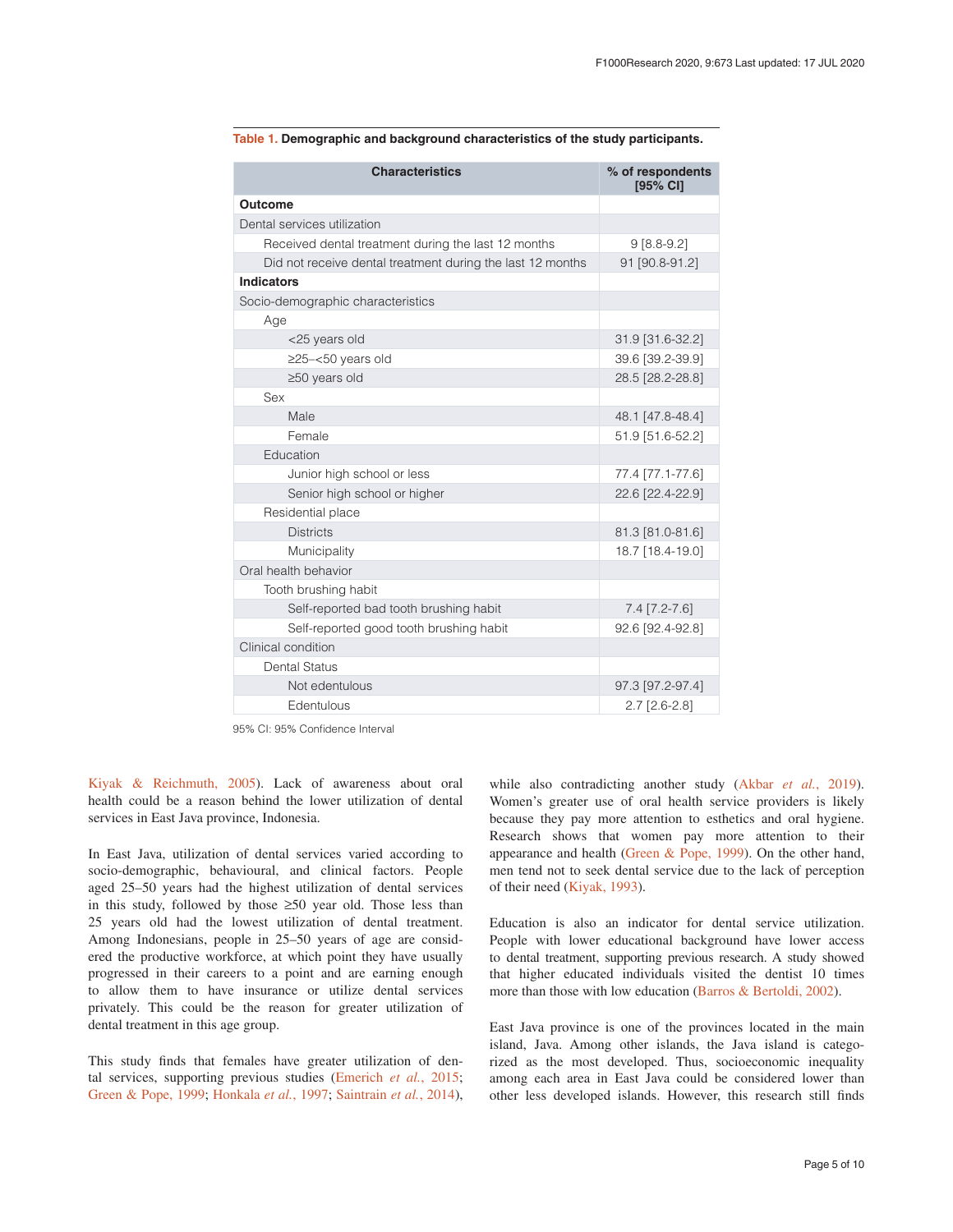| <b>Characteristics</b>                                     | % of respondents<br>[95% CI] |
|------------------------------------------------------------|------------------------------|
| Outcome                                                    |                              |
| Dental services utilization                                |                              |
| Received dental treatment during the last 12 months        | $9[8.8-9.2]$                 |
| Did not receive dental treatment during the last 12 months | 91 [90.8-91.2]               |
| <b>Indicators</b>                                          |                              |
| Socio-demographic characteristics                          |                              |
| Age                                                        |                              |
| <25 years old                                              | 31.9 [31.6-32.2]             |
| $\geq$ 25-<50 years old                                    | 39.6 [39.2-39.9]             |
| $\geq$ 50 years old                                        | 28.5 [28.2-28.8]             |
| Sex                                                        |                              |
| Male                                                       | 48.1 [47.8-48.4]             |
| Female                                                     | 51.9 [51.6-52.2]             |
| Education                                                  |                              |
| Junior high school or less                                 | 77.4 [77.1-77.6]             |
| Senior high school or higher                               | 22.6 [22.4-22.9]             |
| Residential place                                          |                              |
| <b>Districts</b>                                           | 81.3 [81.0-81.6]             |
| Municipality                                               | 18.7 [18.4-19.0]             |
| Oral health behavior                                       |                              |
| Tooth brushing habit                                       |                              |
| Self-reported bad tooth brushing habit                     | $7.4$ [7.2-7.6]              |
| Self-reported good tooth brushing habit                    | 92.6 [92.4-92.8]             |
| Clinical condition                                         |                              |
| Dental Status                                              |                              |
| Not edentulous                                             | 97.3 [97.2-97.4]             |
| Edentulous                                                 | $2.7$ [2.6-2.8]              |

<span id="page-4-0"></span>**Table 1. Demographic and background characteristics of the study participants.**

95% CI: 95% Confidence Interval

[Kiyak & Reichmuth, 2005](#page-7-0)). Lack of awareness about oral health could be a reason behind the lower utilization of dental services in East Java province, Indonesia.

In East Java, utilization of dental services varied according to socio-demographic, behavioural, and clinical factors. People aged 25–50 years had the highest utilization of dental services in this study, followed by those ≥50 year old. Those less than 25 years old had the lowest utilization of dental treatment. Among Indonesians, people in 25–50 years of age are considered the productive workforce, at which point they have usually progressed in their careers to a point and are earning enough to allow them to have insurance or utilize dental services privately. This could be the reason for greater utilization of dental treatment in this age group.

This study finds that females have greater utilization of dental services, supporting previous studies ([Emerich](#page-7-0) *et al.*, 2015; [Green & Pope, 1999;](#page-7-0) Honkala *et al.*[, 1997; Saintrain](#page-7-0) *et al.*, 2014), while also contradicting another study (Akbar *et al.*[, 2019](#page-7-0)). Women's greater use of oral health service providers is likely because they pay more attention to esthetics and oral hygiene. Research shows that women pay more attention to their appearance and health [\(Green & Pope, 1999](#page-7-0)). On the other hand, men tend not to seek dental service due to the lack of perception of their need [\(Kiyak, 1993\)](#page-7-0).

Education is also an indicator for dental service utilization. People with lower educational background have lower access to dental treatment, supporting previous research. A study showed that higher educated individuals visited the dentist 10 times more than those with low education [\(Barros & Bertoldi, 2002\)](#page-7-0).

East Java province is one of the provinces located in the main island, Java. Among other islands, the Java island is categorized as the most developed. Thus, socioeconomic inequality among each area in East Java could be considered lower than other less developed islands. However, this research still finds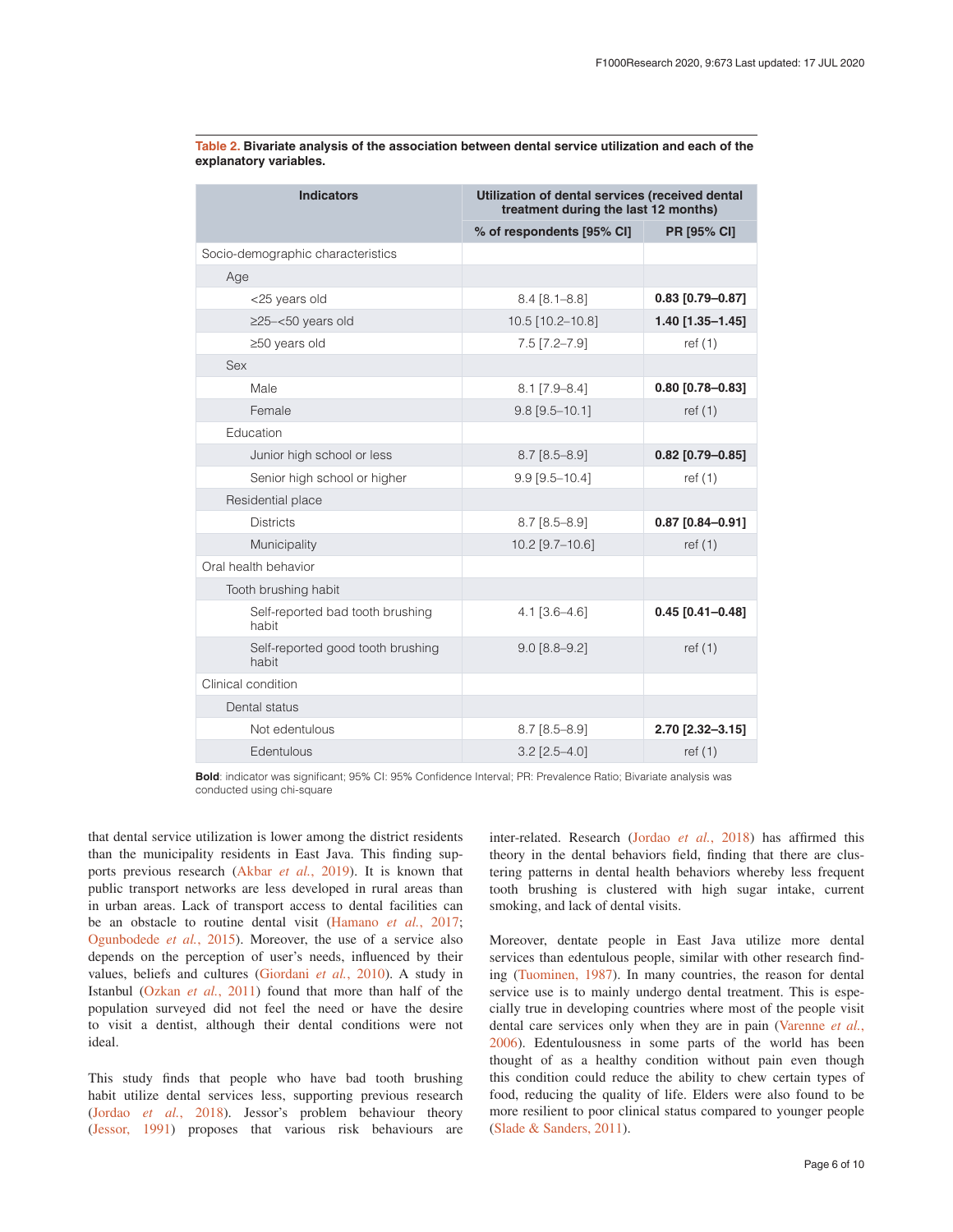| <b>Indicators</b>                          | Utilization of dental services (received dental<br>treatment during the last 12 months) |                    |
|--------------------------------------------|-----------------------------------------------------------------------------------------|--------------------|
|                                            | % of respondents [95% CI]                                                               | <b>PR [95% CI]</b> |
| Socio-demographic characteristics          |                                                                                         |                    |
| Age                                        |                                                                                         |                    |
| <25 years old                              | $8.4 [8.1 - 8.8]$                                                                       | $0.83$ [0.79-0.87] |
| $\geq$ 25-<50 years old                    | 10.5 [10.2-10.8]                                                                        | 1.40 [1.35-1.45]   |
| $\geq$ 50 years old                        | $7.5$ $[7.2 - 7.9]$                                                                     | ref(1)             |
| Sex                                        |                                                                                         |                    |
| Male                                       | $8.1$ [7.9-8.4]                                                                         | 0.80 [0.78-0.83]   |
| Female                                     | $9.8$ [ $9.5 - 10.1$ ]                                                                  | ref $(1)$          |
| Education                                  |                                                                                         |                    |
| Junior high school or less                 | $8.7$ [ $8.5 - 8.9$ ]                                                                   | $0.82$ [0.79-0.85] |
| Senior high school or higher               | $9.9$ [ $9.5 - 10.4$ ]                                                                  | ref $(1)$          |
| Residential place                          |                                                                                         |                    |
| <b>Districts</b>                           | $8.7$ [ $8.5 - 8.9$ ]                                                                   | $0.87$ [0.84-0.91] |
| Municipality                               | 10.2 [9.7-10.6]                                                                         | ref $(1)$          |
| Oral health behavior                       |                                                                                         |                    |
| Tooth brushing habit                       |                                                                                         |                    |
| Self-reported bad tooth brushing<br>habit  | $4.1$ [3.6-4.6]                                                                         | $0.45$ [0.41-0.48] |
| Self-reported good tooth brushing<br>habit | $9.0$ [8.8-9.2]                                                                         | ref $(1)$          |
| Clinical condition                         |                                                                                         |                    |
| Dental status                              |                                                                                         |                    |
| Not edentulous                             | $8.7$ [ $8.5 - 8.9$ ]                                                                   | 2.70 [2.32-3.15]   |
| Edentulous                                 | $3.2$ [2.5-4.0]                                                                         | ref $(1)$          |

<span id="page-5-0"></span>**Table 2. Bivariate analysis of the association between dental service utilization and each of the explanatory variables.**

**Bold**: indicator was significant; 95% CI: 95% Confidence Interval; PR: Prevalence Ratio; Bivariate analysis was conducted using chi-square

that dental service utilization is lower among the district residents than the municipality residents in East Java. This finding supports previous research (Akbar *et al.*[, 2019\)](#page-7-0). It is known that public transport networks are less developed in rural areas than in urban areas. Lack of transport access to dental facilities can be an obstacle to routine dental visit ([Hamano](#page-7-0) *et al.*, 2017; [Ogunbodede](#page-7-0) *et al.*, 2015). Moreover, the use of a service also depends on the perception of user's needs, influenced by their values, beliefs and cultures ([Giordani](#page-7-0) *et al.*, 2010). A study in Istanbul ([Ozkan](#page-7-0) *et al.*, 2011) found that more than half of the population surveyed did not feel the need or have the desire to visit a dentist, although their dental conditions were not ideal.

This study finds that people who have bad tooth brushing habit utilize dental services less, supporting previous research (Jordao *et al.*[, 2018\)](#page-7-0). Jessor's problem behaviour theory ([Jessor, 1991\)](#page-7-0) proposes that various risk behaviours are

inter-related. Research ([Jordao](#page-7-0) *et al.*, 2018) has affirmed this theory in the dental behaviors field, finding that there are clustering patterns in dental health behaviors whereby less frequent tooth brushing is clustered with high sugar intake, current smoking, and lack of dental visits.

Moreover, dentate people in East Java utilize more dental services than edentulous people, similar with other research finding [\(Tuominen, 1987\)](#page-7-0). In many countries, the reason for dental service use is to mainly undergo dental treatment. This is especially true in developing countries where most of the people visit dental care services only when they are in pain ([Varenne](#page-7-0) *et al.*, [2006\)](#page-7-0). Edentulousness in some parts of the world has been thought of as a healthy condition without pain even though this condition could reduce the ability to chew certain types of food, reducing the quality of life. Elders were also found to be more resilient to poor clinical status compared to younger people ([Slade & Sanders, 2011](#page-7-0)).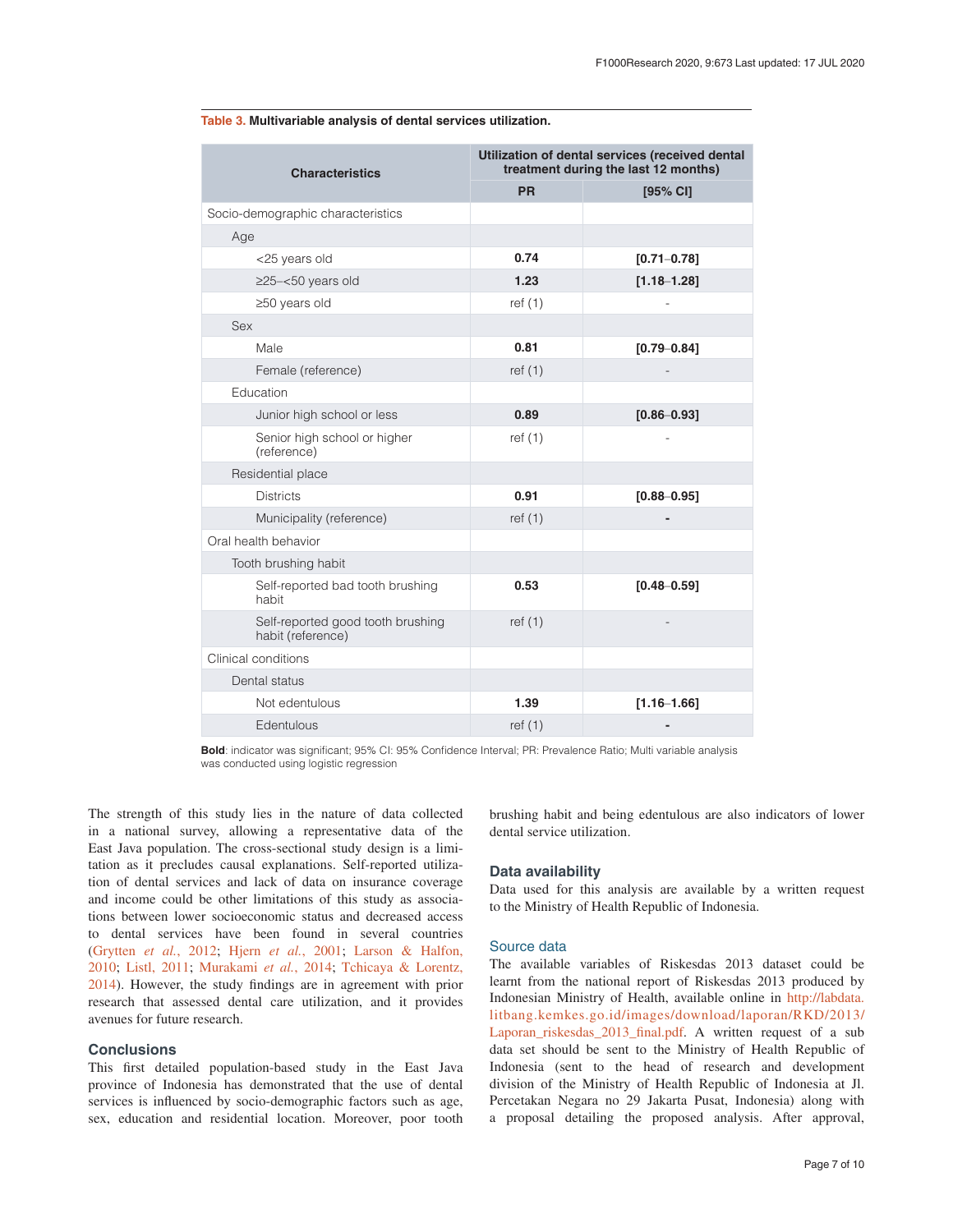| <b>Characteristics</b>                                 | Utilization of dental services (received dental<br>treatment during the last 12 months) |                 |
|--------------------------------------------------------|-----------------------------------------------------------------------------------------|-----------------|
|                                                        | <b>PR</b>                                                                               | $[95%$ CI]      |
| Socio-demographic characteristics                      |                                                                                         |                 |
| Age                                                    |                                                                                         |                 |
| <25 years old                                          | 0.74                                                                                    | $[0.71 - 0.78]$ |
| $\geq$ 25-<50 years old                                | 1.23                                                                                    | $[1.18 - 1.28]$ |
| $\geq$ 50 years old                                    | ref $(1)$                                                                               |                 |
| Sex                                                    |                                                                                         |                 |
| Male                                                   | 0.81                                                                                    | $[0.79 - 0.84]$ |
| Female (reference)                                     | ref(1)                                                                                  |                 |
| Education                                              |                                                                                         |                 |
| Junior high school or less                             | 0.89                                                                                    | $[0.86 - 0.93]$ |
| Senior high school or higher<br>(reference)            | ref $(1)$                                                                               |                 |
| Residential place                                      |                                                                                         |                 |
| <b>Districts</b>                                       | 0.91                                                                                    | $[0.88 - 0.95]$ |
| Municipality (reference)                               | ref $(1)$                                                                               |                 |
| Oral health behavior                                   |                                                                                         |                 |
| Tooth brushing habit                                   |                                                                                         |                 |
| Self-reported bad tooth brushing<br>habit              | 0.53                                                                                    | $[0.48 - 0.59]$ |
| Self-reported good tooth brushing<br>habit (reference) | ref $(1)$                                                                               |                 |
| Clinical conditions                                    |                                                                                         |                 |
| Dental status                                          |                                                                                         |                 |
| Not edentulous                                         | 1.39                                                                                    | $[1.16 - 1.66]$ |
| Edentulous                                             | ref $(1)$                                                                               |                 |

#### <span id="page-6-0"></span>**Table 3. Multivariable analysis of dental services utilization.**

**Bold**: indicator was significant; 95% CI: 95% Confidence Interval; PR: Prevalence Ratio; Multi variable analysis was conducted using logistic regression

The strength of this study lies in the nature of data collected in a national survey, allowing a representative data of the East Java population. The cross-sectional study design is a limitation as it precludes causal explanations. Self-reported utilization of dental services and lack of data on insurance coverage and income could be other limitations of this study as associations between lower socioeconomic status and decreased access to dental services have been found in several countries (Grytten *et al.*[, 2012; Hjern](#page-7-0) *et al.*, 2001; [Larson & Halfon,](#page-7-0)  [2010; Listl, 2011;](#page-7-0) [Murakami](#page-7-0) *et al.*, 2014; [Tchicaya & Lorentz,](#page-7-0) [2014\)](#page-7-0). However, the study findings are in agreement with prior research that assessed dental care utilization, and it provides avenues for future research.

#### **Conclusions**

This first detailed population-based study in the East Java province of Indonesia has demonstrated that the use of dental services is influenced by socio-demographic factors such as age, sex, education and residential location. Moreover, poor tooth

brushing habit and being edentulous are also indicators of lower dental service utilization.

#### **Data availability**

Data used for this analysis are available by a written request to the Ministry of Health Republic of Indonesia.

#### Source data

The available variables of Riskesdas 2013 dataset could be learnt from the national report of Riskesdas 2013 produced by Indonesian Ministry of Health, available online in [http://labdata.](http://labdata.litbang.kemkes.go.id/images/download/laporan/RKD/2013/Laporan_riskesdas_2013_final.pdf) [litbang.kemkes.go.id/images/download/laporan/RKD/2013/](http://labdata.litbang.kemkes.go.id/images/download/laporan/RKD/2013/Laporan_riskesdas_2013_final.pdf) [Laporan\\_riskesdas\\_2013\\_final.pdf](http://labdata.litbang.kemkes.go.id/images/download/laporan/RKD/2013/Laporan_riskesdas_2013_final.pdf). A written request of a sub data set should be sent to the Ministry of Health Republic of Indonesia (sent to the head of research and development division of the Ministry of Health Republic of Indonesia at Jl. Percetakan Negara no 29 Jakarta Pusat, Indonesia) along with a proposal detailing the proposed analysis. After approval,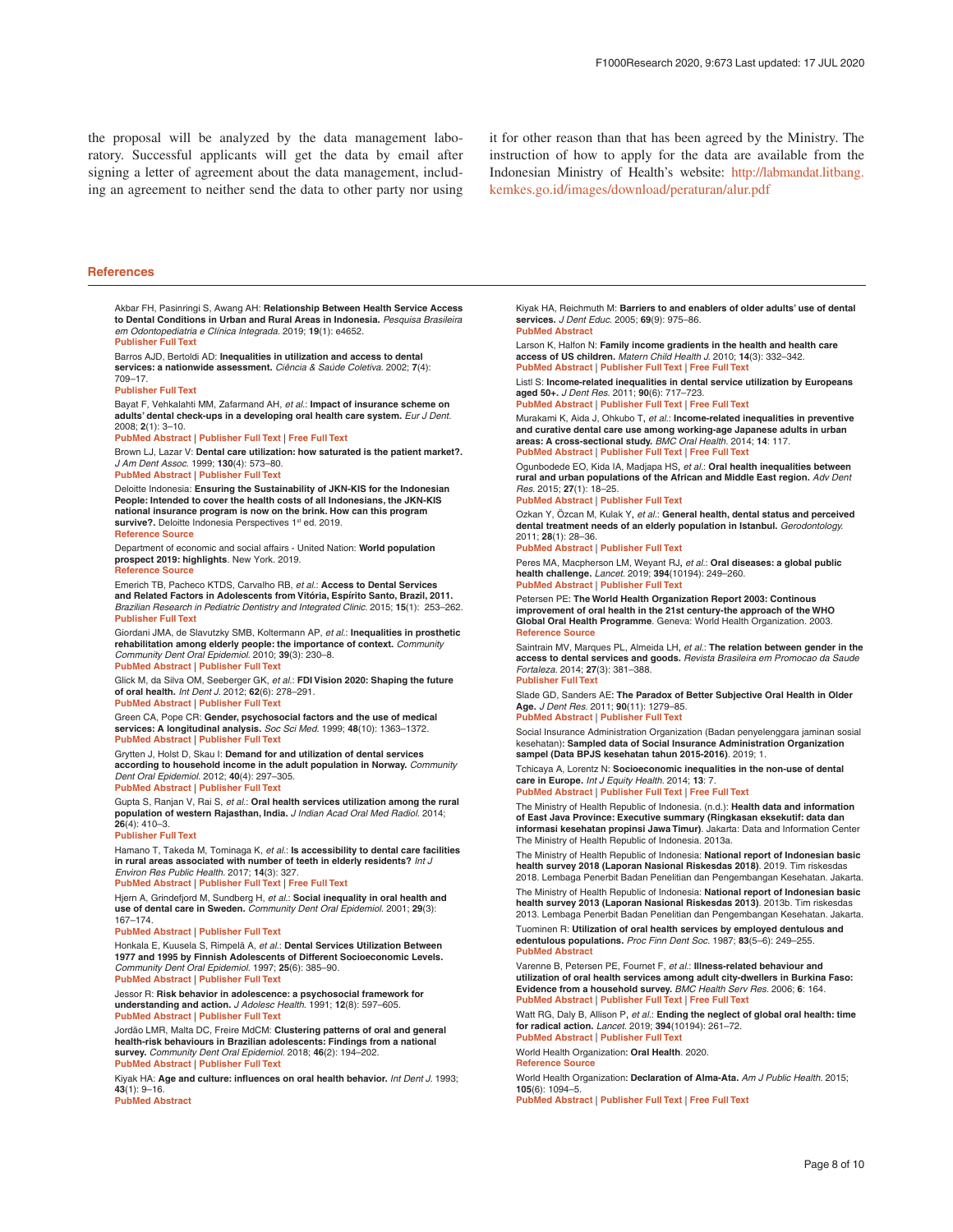<span id="page-7-0"></span>the proposal will be analyzed by the data management laboratory. Successful applicants will get the data by email after signing a letter of agreement about the data management, including an agreement to neither send the data to other party nor using

it for other reason than that has been agreed by the Ministry. The instruction of how to apply for the data are available from the Indonesian Ministry of Health's website: [http://labmandat.litbang.](http://labmandat.litbang.kemkes.go.id/images/download/peraturan/alur.pdf) [kemkes.go.id/images/download/peraturan/alur.pdf](http://labmandat.litbang.kemkes.go.id/images/download/peraturan/alur.pdf)

#### **References**

Akbar FH, Pasinringi S, Awang AH: **Relationship Between Health Service Access to Dental Conditions in Urban and Rural Areas in Indonesia.** *Pesquisa Brasileira em Odontopediatria e Clínica Integrada.* 2019; **19**(1): e4652. **[Publisher Full Text](http://dx.doi.org/10.4034/PBOCI.2019.191.83)**

Barros AJD, Bertoldi AD: **Inequalities in utilization and access to dental services: a nationwide assessment.** *Ciência & Saúde Coletiva.* 2002; **7**(4): 709–17.

#### **[Publisher Full Text](http://dx.doi.org/10.1590/S1413-81232002000400008)**

Bayat F, Vehkalahti MM, Zafarmand AH, *et al.*: **Impact of insurance scheme on adults' dental check-ups in a developing oral health care system.** *Eur J Dent.* 2008; **2**(1): 3–10.

**[PubMed Abstract](http://www.ncbi.nlm.nih.gov/pubmed/19212502)** | **[Publisher Full Text](http://dx.doi.org/10.1055/s-0039-1697346)** | **[Free Full Text](http://www.ncbi.nlm.nih.gov/pmc/articles/2633147)**

Brown LJ, Lazar V: **Dental care utilization: how saturated is the patient market?.** *J Am Dent Assoc.* 1999; **130**(4): 573–80.

**[PubMed Abstract](http://www.ncbi.nlm.nih.gov/pubmed/10203911)** | **[Publisher Full Text](http://dx.doi.org/10.14219/jada.archive.1999.0255)**

Deloitte Indonesia: **Ensuring the Sustainability of JKN-KIS for the Indonesian People: Intended to cover the health costs of all Indonesians, the JKN-KIS national insurance program is now on the brink. How can this program**  survive?. Deloitte Indonesia Perspectives 1<sup>st</sup> ed. 2019. **[Reference Source](https://www2.deloitte.com/content/dam/Deloitte/id/Documents/about-deloitte/id-about-dip-edition-1-chapter-1-en-sep2019.pdf)**

Department of economic and social affairs - United Nation: **World population prospect 2019: highlights**. New York. 2019. **[Reference Source](https://population.un.org/wpp/Publications/Files/WPP2019_Highlights.pdf)**

Emerich TB, Pacheco KTDS, Carvalho RB, *et al.*: **Access to Dental Services and Related Factors in Adolescents from Vitória, Espírito Santo, Brazil, 2011.** *Brazilian Research in Pediatric Dentistry and Integrated Clinic.* 2015; **15**(1): 253–262. **[Publisher Full Text](http://dx.doi.org/10.4034/PBOCI.2015.151.27)**

Giordani JMA, de Slavutzky SMB, Koltermann AP, *et al.*: **Inequalities in prosthetic rehabilitation among elderly people: the importance of context.** *Community Community Dent Oral Epidemiol.* 2010; **39**(3): 230–8. **[PubMed Abstract](http://www.ncbi.nlm.nih.gov/pubmed/21070321)** | **[Publisher Full Text](http://dx.doi.org/10.1111/j.1600-0528.2010.00587.x)**

Glick M, da Silva OM, Seeberger GK, *et al.*: **FDI Vision 2020: Shaping the future of oral health.** *Int Dent J.* 2012; **62**(6): 278–291.

**[PubMed Abstract](http://www.ncbi.nlm.nih.gov/pubmed/23252585)** | **[Publisher Full Text](http://dx.doi.org/10.1111/idj.12009)** Green CA, Pope CR: **Gender, psychosocial factors and the use of medical services: A longitudinal analysis.** *Soc Sci Med.* 1999; **48**(10): 1363–1372.

#### **[PubMed Abstract](http://www.ncbi.nlm.nih.gov/pubmed/10369437)** | **[Publisher Full Text](http://dx.doi.org/10.1016/s0277-9536(98)00440-7)**

Grytten J, Holst D, Skau I: **Demand for and utilization of dental services according to household income in the adult population in Norway.** *Community Dent Oral Epidemiol.* 2012; **40**(4): 297–305. **[PubMed Abstract](http://www.ncbi.nlm.nih.gov/pubmed/22239170)** | **[Publisher Full Text](http://dx.doi.org/10.1111/j.1600-0528.2011.00659.x)**

Gupta S, Ranjan V, Rai S, *et al.*: **Oral health services utilization among the rural population of western Rajasthan, India.** *J Indian Acad Oral Med Radiol.* 2014; **26**(4): 410–3.

#### **[Publisher Full Text](http://dx.doi.org/10.4103/0972-1363.155688)**

Hamano T, Takeda M, Tominaga K, *et al.*: **Is accessibility to dental care facilities in rural areas associated with number of teeth in elderly residents?** *Int J* 

*Environ Res Public Health.* 2017; **14**(3): 327. **[PubMed Abstract](http://www.ncbi.nlm.nih.gov/pubmed/28335583)** | **[Publisher Full Text](http://dx.doi.org/10.3390/ijerph14030327)** | **[Free Full Text](http://www.ncbi.nlm.nih.gov/pmc/articles/5369162)**

Hjern A, Grindefjord M, Sundberg H, *et al.*: **Social inequality in oral health and use of dental care in Sweden.** *Community Dent Oral Epidemiol.* 2001; **29**(3): 167–174.

**[PubMed Abstract](http://www.ncbi.nlm.nih.gov/pubmed/11409675)** | **[Publisher Full Text](http://dx.doi.org/10.1034/j.1600-0528.2001.290302.x)**

Honkala E, Kuusela S, Rimpelä A, *et al.*: **Dental Services Utilization Between 1977 and 1995 by Finnish Adolescents of Different Socioeconomic Levels.** *Community Dent Oral Epidemiol.* 1997; **25**(6): 385–90. **[PubMed Abstract](http://www.ncbi.nlm.nih.gov/pubmed/9429809)** | **[Publisher Full Text](http://dx.doi.org/10.1111/j.1600-0528.1997.tb01727.x)**

Jessor R: **Risk behavior in adolescence: a psychosocial framework for understanding and action.** *J Adolesc Health.* 1991; **12**(8): 597–605. **[PubMed Abstract](http://www.ncbi.nlm.nih.gov/pubmed/1799569)** | **[Publisher Full Text](http://dx.doi.org/10.1016/1054-139x(91)90007-k)**

Jordão LMR, Malta DC, Freire MdCM: **Clustering patterns of oral and general health-risk behaviours in Brazilian adolescents: Findings from a national survey.** *Community Dent Oral Epidemiol.* 2018; **46**(2): 194–202. **[PubMed Abstract](http://www.ncbi.nlm.nih.gov/pubmed/29168590)** | **[Publisher Full Text](http://dx.doi.org/10.1111/cdoe.12354)**

Kiyak HA: **Age and culture: influences on oral health behavior.** *Int Dent J.* 1993; **43**(1): 9–16. **[PubMed Abstract](http://www.ncbi.nlm.nih.gov/pubmed/8478130)**

Kiyak HA, Reichmuth M: **Barriers to and enablers of older adults' use of dental services.** *J Dent Educ.* 2005; **69**(9): 975–86. **[PubMed Abstract](http://www.ncbi.nlm.nih.gov/pubmed/16141083)**

Larson K, Halfon N: **Family income gradients in the health and health care access of US children.** *Matern Child Health J.* 2010; **14**(3): 332–342. **[PubMed Abstract](http://www.ncbi.nlm.nih.gov/pubmed/19499315)** | **[Publisher Full Text](http://dx.doi.org/10.1007/s10995-009-0477-y)** | **[Free Full Text](http://www.ncbi.nlm.nih.gov/pmc/articles/2862175)**

Listl S: **Income-related inequalities in dental service utilization by Europeans aged 50+.** *J Dent Res.* 2011; **90**(6): 717–723.

**[PubMed Abstract](http://www.ncbi.nlm.nih.gov/pubmed/21508432)** | **[Publisher Full Text](http://dx.doi.org/10.1177/0022034511399907)** | **[Free Full Text](http://www.ncbi.nlm.nih.gov/pmc/articles/3318029)**

Murakami K, Aida J, Ohkubo T,*et al.*: **Income-related inequalities in preventive and curative dental care use among working-age Japanese adults in urban areas: A cross-sectional study.** *BMC Oral Health.* 2014; **14**: 117. **[PubMed Abstract](http://www.ncbi.nlm.nih.gov/pubmed/25234486)** | **[Publisher Full Text](http://dx.doi.org/10.1186/1472-6831-14-117)** | **[Free Full Text](http://www.ncbi.nlm.nih.gov/pmc/articles/4176863)**

Ogunbodede EO, Kida IA, Madjapa HS,*et al.*: **Oral health inequalities between rural and urban populations of the African and Middle East region.** *Adv Dent Res.* 2015; **27**(1): 18–25.

#### **[PubMed Abstract](http://www.ncbi.nlm.nih.gov/pubmed/26101336)** | **[Publisher Full Text](http://dx.doi.org/10.1177/0022034515575538)**

Ozkan Y, Özcan M, Kulak Y,*et al.*: **General health, dental status and perceived dental treatment needs of an elderly population in Istanbul.** *Gerodontology.* 2011; **28**(1): 28–36.

#### **[PubMed Abstract](http://www.ncbi.nlm.nih.gov/pubmed/21320160)** | **[Publisher Full Text](http://dx.doi.org/10.1111/j.1741-2358.2010.00363.x)**

Peres MA, Macpherson LM, Weyant RJ,*et al.*: **Oral diseases: a global public health challenge.** *Lancet.* 2019; **394**(10194): 249–260. **[PubMed Abstract](http://www.ncbi.nlm.nih.gov/pubmed/31327369)** | **[Publisher Full Text](http://dx.doi.org/10.1016/S0140-6736(19)31146-8)**

Petersen PE:**The World Health Organization Report 2003: Continous improvement of oral health in the 21st century-the approach of the WHO Global Oral Health Programme**. Geneva: World Health Organization. 2003. **[Reference Source](https://www.who.int/oral_health/media/en/orh_report03_en.pdf)**

Saintrain MV, Marques PL, Almeida LH,*et al.*: **The relation between gender in the access to dental services and goods.** *Revista Brasileira em Promocao da Saude Fortaleza.* 2014; **27**(3): 381–388. **[Publisher Full Text](http://dx.doi.org/10.5020/18061230.2014.p381)**

Slade GD, Sanders AE:**The Paradox of Better Subjective Oral Health in Older Age.** *J Dent Res.* 2011; **90**(11): 1279–85.

**[PubMed Abstract](http://www.ncbi.nlm.nih.gov/pubmed/21917599)** | **[Publisher Full Text](http://dx.doi.org/10.1177/0022034511421931)**

Social Insurance Administration Organization (Badan penyelenggara jaminan sosial kesehatan):**Sampled data of Social Insurance Administration Organization sampel (Data BPJS kesehatan tahun 2015-2016)**. 2019; 1.

Tchicaya A, Lorentz N: **Socioeconomic inequalities in the non-use of dental care in Europe.** *Int J Equity Health.* 2014; **13**: 7.

**[PubMed Abstract](http://www.ncbi.nlm.nih.gov/pubmed/24476233)** | **[Publisher Full Text](http://dx.doi.org/10.1186/1475-9276-13-7)** | **[Free Full Text](http://www.ncbi.nlm.nih.gov/pmc/articles/3909506)**

The Ministry of Health Republic of Indonesia. (n.d.): **Health data and information of East Java Province: Executive summary (Ringkasan eksekutif: data dan informasi kesehatan propinsi Jawa Timur)**. Jakarta: Data and Information Center The Ministry of Health Republic of Indonesia. 2013a.

The Ministry of Health Republic of Indonesia: **National report of Indonesian basic health survey 2018 (Laporan Nasional Riskesdas 2018)**. 2019. Tim riskesdas 2018. Lembaga Penerbit Badan Penelitian dan Pengembangan Kesehatan. Jakarta.

The Ministry of Health Republic of Indonesia: **National report of Indonesian basic health survey 2013 (Laporan Nasional Riskesdas 2013)**. 2013b. Tim riskesdas 2013. Lembaga Penerbit Badan Penelitian dan Pengembangan Kesehatan. Jakarta.

Tuominen R: **Utilization of oral health services by employed dentulous and edentulous populations.** *Proc Finn Dent Soc.* 1987; **83**(5–6): 249–255. **[PubMed Abstract](http://www.ncbi.nlm.nih.gov/pubmed/3124099)**

Varenne B, Petersen PE, Fournet F, *et al.*: **Illness-related behaviour and utilization of oral health services among adult city-dwellers in Burkina Faso: Evidence from a household survey.** *BMC Health Serv Res.* 2006; **6**: 164. **[PubMed Abstract](http://www.ncbi.nlm.nih.gov/pubmed/17192172)** | **[Publisher Full Text](http://dx.doi.org/10.1186/1472-6963-6-164)** | **[Free Full Text](http://www.ncbi.nlm.nih.gov/pmc/articles/1769368)**

Watt RG, Daly B, Allison P,*et al.*: **Ending the neglect of global oral health: time for radical action.** *Lancet.* 2019; **394**(10194): 261–72. **[PubMed Abstract](http://www.ncbi.nlm.nih.gov/pubmed/31327370)** | **[Publisher Full Text](http://dx.doi.org/10.1016/S0140-6736(19)31133-X)**

World Health Organization:**Oral Health**. 2020. **[Reference Source](https://www.who.int/health-topics/oral-health/#tab=tab_1)**

World Health Organization:**Declaration of Alma-Ata.** *Am J Public Health.* 2015; **105**(6): 1094–5.

**[PubMed Abstract](http://www.ncbi.nlm.nih.gov/pubmed/25970470)** | **[Publisher Full Text](http://dx.doi.org/10.2105/AJPH.2015.10561094)** | **[Free Full Text](http://www.ncbi.nlm.nih.gov/pmc/articles/4431090)**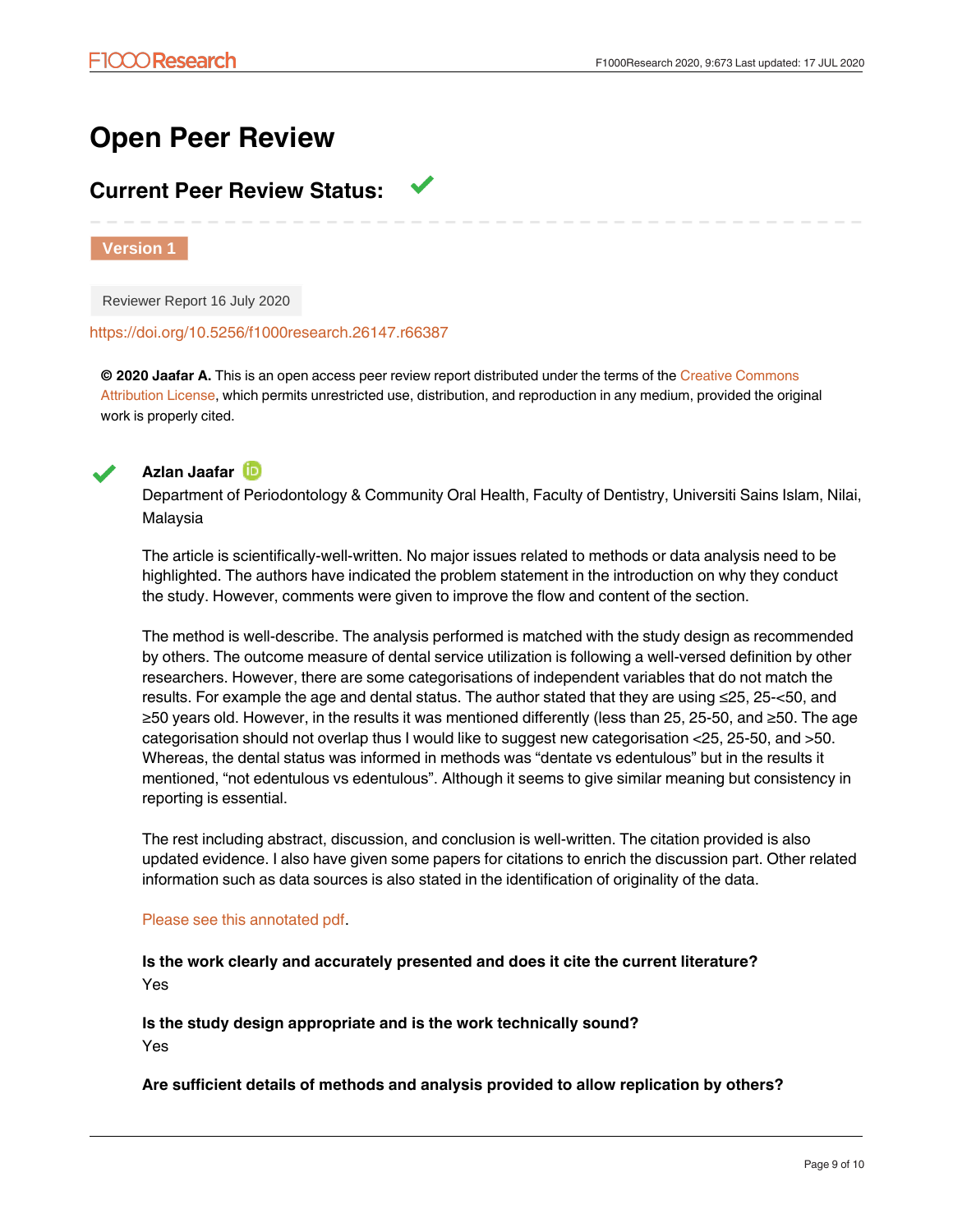# **Open Peer Review**

# **Current Peer Review Status:**

**Version 1**

Reviewer Report 16 July 2020

<https://doi.org/10.5256/f1000research.26147.r66387>

**© 2020 Jaafar A.** This is an open access peer review report distributed under the terms of the [Creative Commons](https://creativecommons.org/licenses/by/4.0/) [Attribution License](https://creativecommons.org/licenses/by/4.0/), which permits unrestricted use, distribution, and reproduction in any medium, provided the original work is properly cited.



**Azlan Jaafar**

Department of Periodontology & Community Oral Health, Faculty of Dentistry, Universiti Sains Islam, Nilai, Malaysia

The article is scientifically-well-written. No major issues related to methods or data analysis need to be highlighted. The authors have indicated the problem statement in the introduction on why they conduct the study. However, comments were given to improve the flow and content of the section.

The method is well-describe. The analysis performed is matched with the study design as recommended by others. The outcome measure of dental service utilization is following a well-versed definition by other researchers. However, there are some categorisations of independent variables that do not match the results. For example the age and dental status. The author stated that they are using ≤25, 25-<50, and ≥50 years old. However, in the results it was mentioned differently (less than 25, 25-50, and ≥50. The age categorisation should not overlap thus I would like to suggest new categorisation <25, 25-50, and >50. Whereas, the dental status was informed in methods was "dentate vs edentulous" but in the results it mentioned, "not edentulous vs edentulous". Although it seems to give similar meaning but consistency in reporting is essential.

The rest including abstract, discussion, and conclusion is well-written. The citation provided is also updated evidence. I also have given some papers for citations to enrich the discussion part. Other related information such as data sources is also stated in the identification of originality of the data.

### [Please see this annotated pdf.](https://f1000researchdata.s3.amazonaws.com/linked/307316.23698_-_ninuk_hariyani_comment_from_reveiwer.pdf)

Yes

**Is the work clearly and accurately presented and does it cite the current literature?** Yes

**Is the study design appropriate and is the work technically sound?** Yes

**Are sufficient details of methods and analysis provided to allow replication by others?**